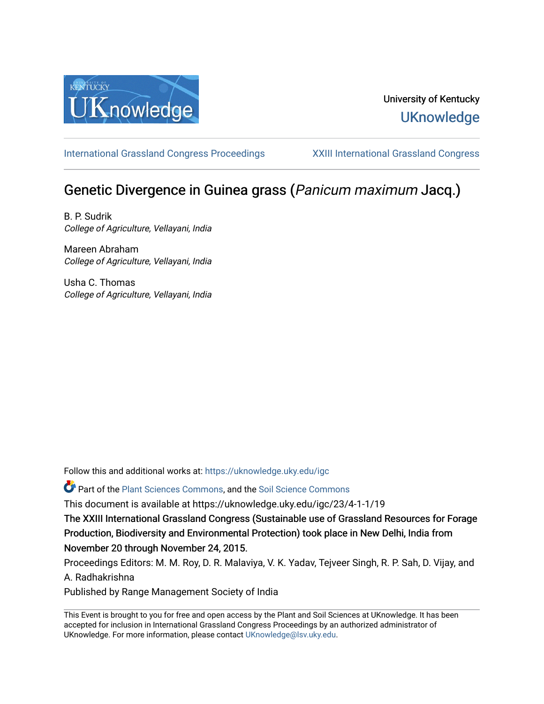

## University of Kentucky **UKnowledge**

[International Grassland Congress Proceedings](https://uknowledge.uky.edu/igc) [XXIII International Grassland Congress](https://uknowledge.uky.edu/igc/23) 

# Genetic Divergence in Guinea grass (Panicum maximum Jacq.)

B. P. Sudrik College of Agriculture, Vellayani, India

Mareen Abraham College of Agriculture, Vellayani, India

Usha C. Thomas College of Agriculture, Vellayani, India

Follow this and additional works at: [https://uknowledge.uky.edu/igc](https://uknowledge.uky.edu/igc?utm_source=uknowledge.uky.edu%2Figc%2F23%2F4-1-1%2F19&utm_medium=PDF&utm_campaign=PDFCoverPages) 

Part of the [Plant Sciences Commons](http://network.bepress.com/hgg/discipline/102?utm_source=uknowledge.uky.edu%2Figc%2F23%2F4-1-1%2F19&utm_medium=PDF&utm_campaign=PDFCoverPages), and the [Soil Science Commons](http://network.bepress.com/hgg/discipline/163?utm_source=uknowledge.uky.edu%2Figc%2F23%2F4-1-1%2F19&utm_medium=PDF&utm_campaign=PDFCoverPages) 

This document is available at https://uknowledge.uky.edu/igc/23/4-1-1/19

The XXIII International Grassland Congress (Sustainable use of Grassland Resources for Forage Production, Biodiversity and Environmental Protection) took place in New Delhi, India from November 20 through November 24, 2015.

Proceedings Editors: M. M. Roy, D. R. Malaviya, V. K. Yadav, Tejveer Singh, R. P. Sah, D. Vijay, and A. Radhakrishna

Published by Range Management Society of India

This Event is brought to you for free and open access by the Plant and Soil Sciences at UKnowledge. It has been accepted for inclusion in International Grassland Congress Proceedings by an authorized administrator of UKnowledge. For more information, please contact [UKnowledge@lsv.uky.edu](mailto:UKnowledge@lsv.uky.edu).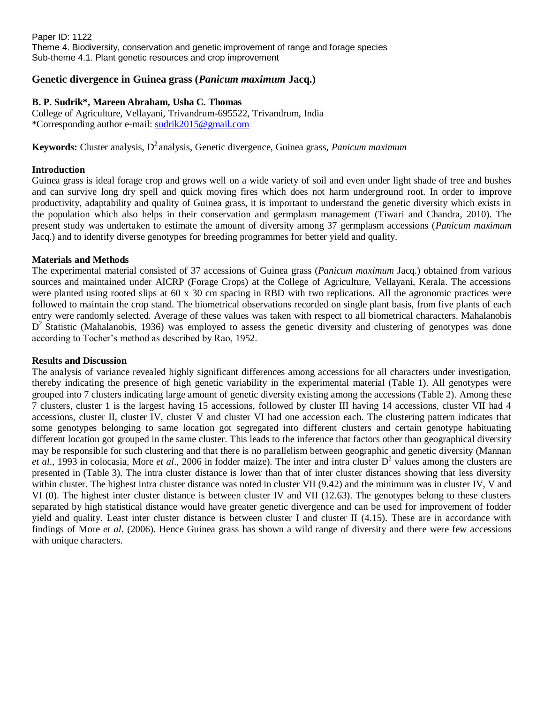Paper ID: 1122 Theme 4. Biodiversity, conservation and genetic improvement of range and forage species Sub-theme 4.1. Plant genetic resources and crop improvement

## **Genetic divergence in Guinea grass (***Panicum maximum* **Jacq.)**

## **B. P. Sudrik\*, Mareen Abraham, Usha C. Thomas**

College of Agriculture, Vellayani, Trivandrum-695522, Trivandrum, India \*Corresponding author e-mail: [sudrik2015@gmail.com](mailto:sudrik2015@gmail.com)

**Keywords:** Cluster analysis, D <sup>2</sup>analysis, Genetic divergence, Guinea grass, *Panicum maximum*

## **Introduction**

Guinea grass is ideal forage crop and grows well on a wide variety of soil and even under light shade of tree and bushes and can survive long dry spell and quick moving fires which does not harm underground root. In order to improve productivity, adaptability and quality of Guinea grass, it is important to understand the genetic diversity which exists in the population which also helps in their conservation and germplasm management (Tiwari and Chandra, 2010). The present study was undertaken to estimate the amount of diversity among 37 germplasm accessions (*Panicum maximum* Jacq.) and to identify diverse genotypes for breeding programmes for better yield and quality.

## **Materials and Methods**

The experimental material consisted of 37 accessions of Guinea grass (*Panicum maximum* Jacq.) obtained from various sources and maintained under AICRP (Forage Crops) at the College of Agriculture, Vellayani, Kerala. The accessions were planted using rooted slips at 60 x 30 cm spacing in RBD with two replications. All the agronomic practices were followed to maintain the crop stand. The biometrical observations recorded on single plant basis, from five plants of each entry were randomly selected. Average of these values was taken with respect to all biometrical characters. Mahalanobis D<sup>2</sup> Statistic (Mahalanobis, 1936) was employed to assess the genetic diversity and clustering of genotypes was done according to Tocher's method as described by Rao, 1952.

## **Results and Discussion**

The analysis of variance revealed highly significant differences among accessions for all characters under investigation, thereby indicating the presence of high genetic variability in the experimental material (Table 1). All genotypes were grouped into 7 clusters indicating large amount of genetic diversity existing among the accessions (Table 2). Among these 7 clusters, cluster 1 is the largest having 15 accessions, followed by cluster III having 14 accessions, cluster VII had 4 accessions, cluster II, cluster IV, cluster V and cluster VI had one accession each. The clustering pattern indicates that some genotypes belonging to same location got segregated into different clusters and certain genotype habituating different location got grouped in the same cluster. This leads to the inference that factors other than geographical diversity may be responsible for such clustering and that there is no parallelism between geographic and genetic diversity (Mannan *et al.*, 1993 in colocasia, More *et al.*, 2006 in fodder maize). The inter and intra cluster  $D^2$  values among the clusters are presented in (Table 3). The intra cluster distance is lower than that of inter cluster distances showing that less diversity within cluster. The highest intra cluster distance was noted in cluster VII (9.42) and the minimum was in cluster IV, V and VI (0). The highest inter cluster distance is between cluster IV and VII (12.63). The genotypes belong to these clusters separated by high statistical distance would have greater genetic divergence and can be used for improvement of fodder yield and quality. Least inter cluster distance is between cluster I and cluster II (4.15). These are in accordance with findings of More *et al*. (2006). Hence Guinea grass has shown a wild range of diversity and there were few accessions with unique characters.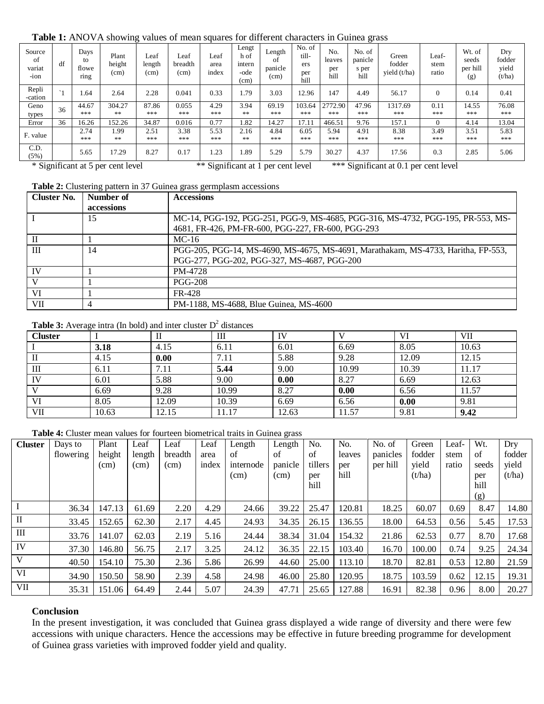| were in the contracting three of mean equates for unfer encountered in Cumea grass |             |                             |                         |                        |                         |                       |                                         |                                 |                                       |                              |                                    |                                   |                        |                                    |                                  |
|------------------------------------------------------------------------------------|-------------|-----------------------------|-------------------------|------------------------|-------------------------|-----------------------|-----------------------------------------|---------------------------------|---------------------------------------|------------------------------|------------------------------------|-----------------------------------|------------------------|------------------------------------|----------------------------------|
| Source<br>of<br>variat<br>-ion                                                     | df          | Days<br>to<br>flowe<br>ring | Plant<br>height<br>(cm) | Leaf<br>length<br>(cm) | Leaf<br>breadth<br>(cm) | Leaf<br>area<br>index | Lengt<br>h of<br>intern<br>-ode<br>(cm) | Length<br>of<br>panicle<br>(cm) | No. of<br>till-<br>ers<br>per<br>hill | No.<br>leaves<br>per<br>hill | No. of<br>panicle<br>s per<br>hill | Green<br>fodder<br>yield $(t/ha)$ | Leaf-<br>stem<br>ratio | Wt. of<br>seeds<br>per hill<br>(g) | Dry<br>fodder<br>yield<br>(t/ha) |
| Repli<br>-cation                                                                   | $^{\sim}$ 1 | 1.64                        | 2.64                    | 2.28                   | 0.041                   | 0.33                  | 1.79                                    | 3.03                            | 12.96                                 | 147                          | 4.49                               | 56.17                             | $\Omega$               | 0.14                               | 0.41                             |
| Geno<br>types                                                                      | 36          | 44.67<br>***                | 304.27<br>**            | 87.86<br>***           | 0.055<br>***            | 4.29<br>***           | 3.94<br>$**$                            | 69.19<br>***                    | 103.64<br>***                         | 2772.90<br>***               | 47.96<br>***                       | 1317.69<br>***                    | 0.11<br>***            | 14.55<br>***                       | 76.08<br>***                     |
| Error                                                                              | 36          | 16.26                       | 152.26                  | 34.87                  | 0.016                   | 0.77                  | 1.82                                    | 14.27                           | 17.11                                 | 466.51                       | 9.76                               | 157.1                             | $\Omega$               | 4.14                               | 13.04                            |
| F. value                                                                           |             | 2.74<br>***                 | 1.99<br>**              | 2.51<br>***            | 3.38<br>***             | 5.53<br>***           | 2.16<br>$**$                            | 4.84<br>***                     | 6.05<br>***                           | 5.94<br>***                  | 4.91<br>***                        | 8.38<br>***                       | 3.49<br>***            | 3.51<br>***                        | 5.83<br>***                      |
| C.D.<br>(5%)                                                                       |             | 5.65                        | 17.29                   | 8.27                   | 0.17                    | 1.23                  | 1.89                                    | 5.29                            | 5.79                                  | 30.27                        | 4.37                               | 17.56                             | 0.3                    | 2.85                               | 5.06                             |

#### **Table 1:** ANOVA showing values of mean squares for different characters in Guinea grass

\* Significant at 5 per cent level \*\* Significant at 1 per cent level \*\*\* Significant at 0.1 per cent level

#### Table 2: Clustering pattern in 37 Guinea grass germplasm accessions

| <b>Cluster No.</b> | Number of  | <b>Accessions</b>                                                                 |
|--------------------|------------|-----------------------------------------------------------------------------------|
|                    | accessions |                                                                                   |
|                    | 15         | MC-14, PGG-192, PGG-251, PGG-9, MS-4685, PGG-316, MS-4732, PGG-195, PR-553, MS-   |
|                    |            | 4681, FR-426, PM-FR-600, PGG-227, FR-600, PGG-293                                 |
|                    |            | $MC-16$                                                                           |
| III                | 14         | PGG-205, PGG-14, MS-4690, MS-4675, MS-4691, Marathakam, MS-4733, Haritha, FP-553, |
|                    |            | PGG-277, PGG-202, PGG-327, MS-4687, PGG-200                                       |
| <b>IV</b>          |            | PM-4728                                                                           |
|                    |            | <b>PGG-208</b>                                                                    |
| VI                 |            | FR-428                                                                            |
| VII                |            | PM-1188, MS-4688, Blue Guinea, MS-4600                                            |

#### **Table 3:** Average intra (In bold) and inter cluster  $D<sup>2</sup>$  distances

| <b>Cluster</b> |       | п     | Ш     | TV    |       | VI    | VII   |
|----------------|-------|-------|-------|-------|-------|-------|-------|
|                | 3.18  | 4.15  | 6.11  | 6.01  | 6.69  | 8.05  | 10.63 |
| П              | 4.15  | 0.00  | 7.11  | 5.88  | 9.28  | 12.09 | 12.15 |
| Ш              | 6.11  | 7.11  | 5.44  | 9.00  | 10.99 | 10.39 | 11.17 |
| IV             | 6.01  | 5.88  | 9.00  | 0.00  | 8.27  | 6.69  | 12.63 |
| T              | 6.69  | 9.28  | 10.99 | 8.27  | 0.00  | 6.56  | 11.57 |
| VI             | 8.05  | 12.09 | 10.39 | 6.69  | 6.56  | 0.00  | 9.81  |
| VII            | 10.63 | 12.15 | 11.17 | 12.63 | 11.57 | 9.81  | 9.42  |

**Table 4:** Cluster mean values for fourteen biometrical traits in Guinea grass

| <b>Cluster</b> | Days to<br>flowering | Plant<br>height<br>(cm) | Leaf<br>length<br>(cm) | Leaf<br>breadth<br>(cm) | Leaf<br>area<br>index | Length<br>of<br>internode<br>(cm) | Length<br>of<br>panicle<br>(cm) | No.<br>of<br>tillers<br>per<br>hill | No.<br>leaves<br>per<br>hill | No. of<br>panicles<br>per hill | Green<br>fodder<br>yield<br>(t/ha) | Leaf-<br>stem<br>ratio | Wt.<br>of<br>seeds<br>per<br>hill<br>(g) | Dry<br>fodder<br>yield<br>(t/ha) |
|----------------|----------------------|-------------------------|------------------------|-------------------------|-----------------------|-----------------------------------|---------------------------------|-------------------------------------|------------------------------|--------------------------------|------------------------------------|------------------------|------------------------------------------|----------------------------------|
|                | 36.34                | 147.13                  | 61.69                  | 2.20                    | 4.29                  | 24.66                             | 39.22                           | 25.47                               | 120.81                       | 18.25                          | 60.07                              | 0.69                   | 8.47                                     | 14.80                            |
| $\mathbf{I}$   | 33.45                | 152.65                  | 62.30                  | 2.17                    | 4.45                  | 24.93                             | 34.35                           | 26.15                               | 136.55                       | 18.00                          | 64.53                              | 0.56                   | 5.45                                     | 17.53                            |
| $\rm III$      | 33.76                | 141.07                  | 62.03                  | 2.19                    | 5.16                  | 24.44                             | 38.34                           | 31.04                               | 154.32                       | 21.86                          | 62.53                              | 0.77                   | 8.70                                     | 17.68                            |
| IV             | 37.30                | 146.80                  | 56.75                  | 2.17                    | 3.25                  | 24.12                             | 36.35                           | 22.15                               | 103.40                       | 16.70                          | 100.00                             | 0.74                   | 9.25                                     | 24.34                            |
| $\mathbf{V}$   | 40.50                | 154.10                  | 75.30                  | 2.36                    | 5.86                  | 26.99                             | 44.60                           | 25.00                               | 113.10                       | 18.70                          | 82.81                              | 0.53                   | 12.80                                    | 21.59                            |
| VI             | 34.90                | 150.50                  | 58.90                  | 2.39                    | 4.58                  | 24.98                             | 46.00                           | 25.80                               | 120.95                       | 18.75                          | 103.59                             | 0.62                   | 12.15                                    | 19.31                            |
| VII            | 35.31                | 151.06                  | 64.49                  | 2.44                    | 5.07                  | 24.39                             | 47.71                           | 25.65                               | 127.88                       | 16.91                          | 82.38                              | 0.96                   | 8.00                                     | 20.27                            |

## **Conclusion**

In the present investigation, it was concluded that Guinea grass displayed a wide range of diversity and there were few accessions with unique characters. Hence the accessions may be effective in future breeding programme for development of Guinea grass varieties with improved fodder yield and quality.